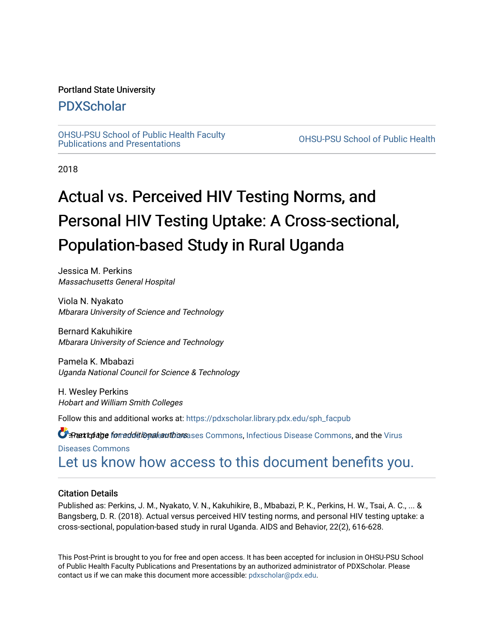# Portland State University

# [PDXScholar](https://pdxscholar.library.pdx.edu/)

[OHSU-PSU School of Public Health Faculty](https://pdxscholar.library.pdx.edu/sph_facpub) [Publications and Presentations](https://pdxscholar.library.pdx.edu/sph_facpub) [OHSU-PSU School of Public Health](https://pdxscholar.library.pdx.edu/sph) 

2018

# Actual vs. Perceived HIV Testing Norms, and Personal HIV Testing Uptake: A Cross-sectional, Population-based Study in Rural Uganda

Jessica M. Perkins Massachusetts General Hospital

Viola N. Nyakato Mbarara University of Science and Technology

Bernard Kakuhikire Mbarara University of Science and Technology

Pamela K. Mbabazi Uganda National Council for Science & Technology

H. Wesley Perkins Hobart and William Smith Colleges

Follow this and additional works at: [https://pdxscholar.library.pdx.edu/sph\\_facpub](https://pdxscholar.library.pdx.edu/sph_facpub?utm_source=pdxscholar.library.pdx.edu%2Fsph_facpub%2F259&utm_medium=PDF&utm_campaign=PDFCoverPages) 

**C** <del>Rant tof alge</del> formadditional authors ases Commons, [Infectious Disease Commons](http://network.bepress.com/hgg/discipline/689?utm_source=pdxscholar.library.pdx.edu%2Fsph_facpub%2F259&utm_medium=PDF&utm_campaign=PDFCoverPages), and the Virus

[Diseases Commons](http://network.bepress.com/hgg/discipline/998?utm_source=pdxscholar.library.pdx.edu%2Fsph_facpub%2F259&utm_medium=PDF&utm_campaign=PDFCoverPages)  [Let us know how access to this document benefits you.](http://library.pdx.edu/services/pdxscholar-services/pdxscholar-feedback/?ref=https://pdxscholar.library.pdx.edu/sph_facpub/259) 

# Citation Details

Published as: Perkins, J. M., Nyakato, V. N., Kakuhikire, B., Mbabazi, P. K., Perkins, H. W., Tsai, A. C., ... & Bangsberg, D. R. (2018). Actual versus perceived HIV testing norms, and personal HIV testing uptake: a cross-sectional, population-based study in rural Uganda. AIDS and Behavior, 22(2), 616-628.

This Post-Print is brought to you for free and open access. It has been accepted for inclusion in OHSU-PSU School of Public Health Faculty Publications and Presentations by an authorized administrator of PDXScholar. Please contact us if we can make this document more accessible: [pdxscholar@pdx.edu](mailto:pdxscholar@pdx.edu).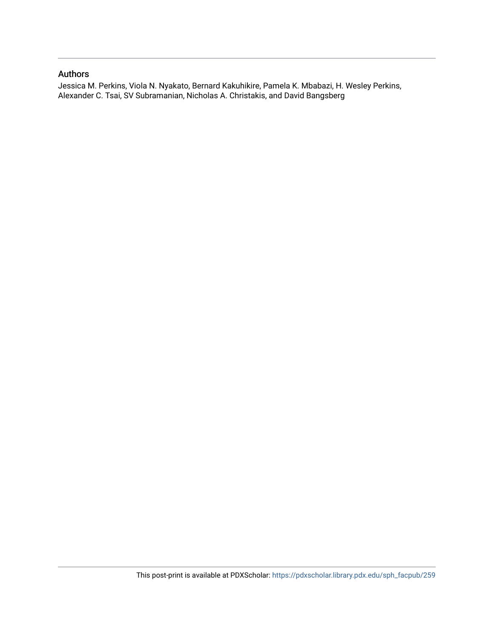# Authors

Jessica M. Perkins, Viola N. Nyakato, Bernard Kakuhikire, Pamela K. Mbabazi, H. Wesley Perkins, Alexander C. Tsai, SV Subramanian, Nicholas A. Christakis, and David Bangsberg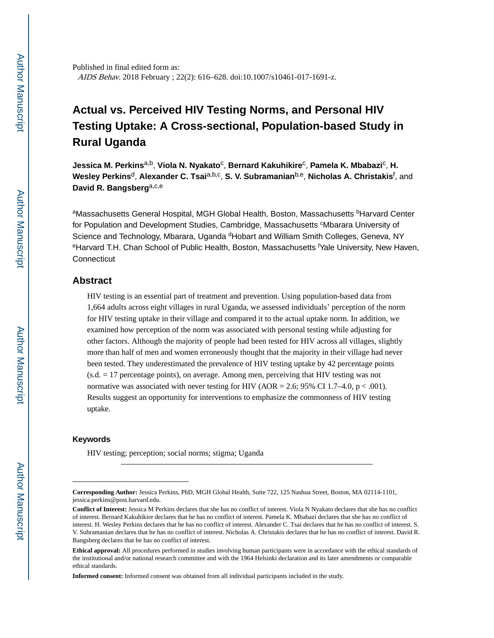# **Actual vs. Perceived HIV Testing Norms, and Personal HIV Testing Uptake: A Cross-sectional, Population-based Study in Rural Uganda**

Jessica M. Perkins<sup>a,b</sup>, Viola N. Nyakato<sup>c</sup>, Bernard Kakuhikire<sup>c</sup>, Pamela K. Mbabazi<sup>c</sup>, H. **Wesley Perkins**d, **Alexander C. Tsai**a,b,c , **S. V. Subramanian**b,e, **Nicholas A. Christakis**<sup>f</sup> , and David R. Bangsberg<sup>a,c,e</sup>

aMassachusetts General Hospital, MGH Global Health, Boston, Massachusetts <sup>b</sup>Harvard Center for Population and Development Studies, Cambridge, Massachusetts <sup>c</sup>Mbarara University of Science and Technology, Mbarara, Uganda <sup>d</sup>Hobart and William Smith Colleges, Geneva, NY eHarvard T.H. Chan School of Public Health, Boston, Massachusetts <sup>f</sup>Yale University, New Haven, **Connecticut** 

# **Abstract**

HIV testing is an essential part of treatment and prevention. Using population-based data from 1,664 adults across eight villages in rural Uganda, we assessed individuals' perception of the norm for HIV testing uptake in their village and compared it to the actual uptake norm. In addition, we examined how perception of the norm was associated with personal testing while adjusting for other factors. Although the majority of people had been tested for HIV across all villages, slightly more than half of men and women erroneously thought that the majority in their village had never been tested. They underestimated the prevalence of HIV testing uptake by 42 percentage points (s.d. = 17 percentage points), on average. Among men, perceiving that HIV testing was not normative was associated with never testing for HIV (AOR = 2.6; 95% CI 1.7–4.0,  $p < .001$ ). Results suggest an opportunity for interventions to emphasize the commonness of HIV testing uptake.

## **Keywords**

HIV testing; perception; social norms; stigma; Uganda

**Corresponding Author:** Jessica Perkins, PhD, MGH Global Health, Suite 722, 125 Nashua Street, Boston, MA 02114-1101, jessica.perkins@post.harvard.edu.

**Conflict of Interest:** Jessica M Perkins declares that she has no conflict of interest. Viola N Nyakato declares that she has no conflict of interest. Bernard Kakuhikire declares that he has no conflict of interest. Pamela K. Mbabazi declares that she has no conflict of interest. H. Wesley Perkins declares that he has no conflict of interest. Alexander C. Tsai declares that he has no conflict of interest. S. V. Subramanian declares that he has no conflict of interest. Nicholas A. Christakis declares that he has no conflict of interest. David R. Bangsberg declares that he has no conflict of interest.

**Ethical approval:** All procedures performed in studies involving human participants were in accordance with the ethical standards of the institutional and/or national research committee and with the 1964 Helsinki declaration and its later amendments or comparable ethical standards.

**Informed consent:** Informed consent was obtained from all individual participants included in the study.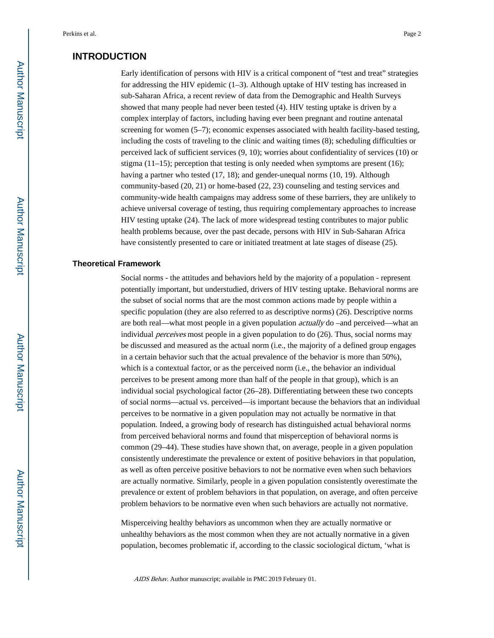# **INTRODUCTION**

Early identification of persons with HIV is a critical component of "test and treat" strategies for addressing the HIV epidemic (1–3). Although uptake of HIV testing has increased in sub-Saharan Africa, a recent review of data from the Demographic and Health Surveys showed that many people had never been tested (4). HIV testing uptake is driven by a complex interplay of factors, including having ever been pregnant and routine antenatal screening for women (5–7); economic expenses associated with health facility-based testing, including the costs of traveling to the clinic and waiting times (8); scheduling difficulties or perceived lack of sufficient services (9, 10); worries about confidentiality of services (10) or stigma  $(11-15)$ ; perception that testing is only needed when symptoms are present  $(16)$ ; having a partner who tested (17, 18); and gender-unequal norms (10, 19). Although community-based (20, 21) or home-based (22, 23) counseling and testing services and community-wide health campaigns may address some of these barriers, they are unlikely to achieve universal coverage of testing, thus requiring complementary approaches to increase HIV testing uptake (24). The lack of more widespread testing contributes to major public health problems because, over the past decade, persons with HIV in Sub-Saharan Africa have consistently presented to care or initiated treatment at late stages of disease (25).

## **Theoretical Framework**

Social norms - the attitudes and behaviors held by the majority of a population - represent potentially important, but understudied, drivers of HIV testing uptake. Behavioral norms are the subset of social norms that are the most common actions made by people within a specific population (they are also referred to as descriptive norms) (26). Descriptive norms are both real—what most people in a given population *actually* do –and perceived—what an individual *perceives* most people in a given population to do (26). Thus, social norms may be discussed and measured as the actual norm (i.e., the majority of a defined group engages in a certain behavior such that the actual prevalence of the behavior is more than 50%), which is a contextual factor, or as the perceived norm (i.e., the behavior an individual perceives to be present among more than half of the people in that group), which is an individual social psychological factor (26–28). Differentiating between these two concepts of social norms—actual vs. perceived—is important because the behaviors that an individual perceives to be normative in a given population may not actually be normative in that population. Indeed, a growing body of research has distinguished actual behavioral norms from perceived behavioral norms and found that misperception of behavioral norms is common (29–44). These studies have shown that, on average, people in a given population consistently underestimate the prevalence or extent of positive behaviors in that population, as well as often perceive positive behaviors to not be normative even when such behaviors are actually normative. Similarly, people in a given population consistently overestimate the prevalence or extent of problem behaviors in that population, on average, and often perceive problem behaviors to be normative even when such behaviors are actually not normative.

Misperceiving healthy behaviors as uncommon when they are actually normative or unhealthy behaviors as the most common when they are not actually normative in a given population, becomes problematic if, according to the classic sociological dictum, 'what is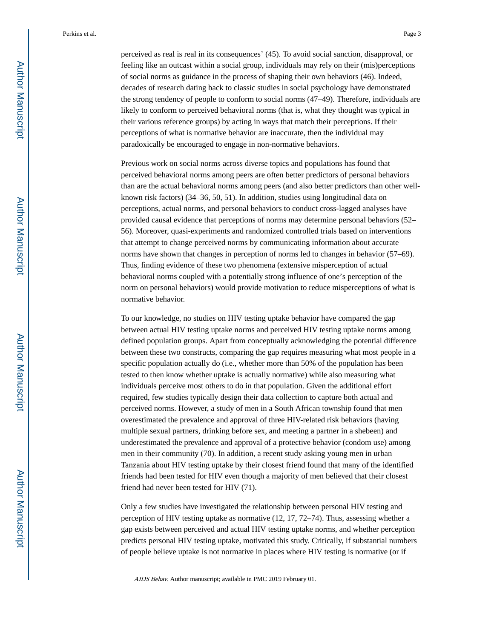perceived as real is real in its consequences' (45). To avoid social sanction, disapproval, or feeling like an outcast within a social group, individuals may rely on their (mis)perceptions of social norms as guidance in the process of shaping their own behaviors (46). Indeed, decades of research dating back to classic studies in social psychology have demonstrated the strong tendency of people to conform to social norms (47–49). Therefore, individuals are likely to conform to perceived behavioral norms (that is, what they thought was typical in their various reference groups) by acting in ways that match their perceptions. If their perceptions of what is normative behavior are inaccurate, then the individual may paradoxically be encouraged to engage in non-normative behaviors.

Previous work on social norms across diverse topics and populations has found that perceived behavioral norms among peers are often better predictors of personal behaviors than are the actual behavioral norms among peers (and also better predictors than other wellknown risk factors) (34–36, 50, 51). In addition, studies using longitudinal data on perceptions, actual norms, and personal behaviors to conduct cross-lagged analyses have provided causal evidence that perceptions of norms may determine personal behaviors (52– 56). Moreover, quasi-experiments and randomized controlled trials based on interventions that attempt to change perceived norms by communicating information about accurate norms have shown that changes in perception of norms led to changes in behavior (57–69). Thus, finding evidence of these two phenomena (extensive misperception of actual behavioral norms coupled with a potentially strong influence of one's perception of the norm on personal behaviors) would provide motivation to reduce misperceptions of what is normative behavior.

To our knowledge, no studies on HIV testing uptake behavior have compared the gap between actual HIV testing uptake norms and perceived HIV testing uptake norms among defined population groups. Apart from conceptually acknowledging the potential difference between these two constructs, comparing the gap requires measuring what most people in a specific population actually do (i.e., whether more than 50% of the population has been tested to then know whether uptake is actually normative) while also measuring what individuals perceive most others to do in that population. Given the additional effort required, few studies typically design their data collection to capture both actual and perceived norms. However, a study of men in a South African township found that men overestimated the prevalence and approval of three HIV-related risk behaviors (having multiple sexual partners, drinking before sex, and meeting a partner in a shebeen) and underestimated the prevalence and approval of a protective behavior (condom use) among men in their community (70). In addition, a recent study asking young men in urban Tanzania about HIV testing uptake by their closest friend found that many of the identified friends had been tested for HIV even though a majority of men believed that their closest friend had never been tested for HIV (71).

Only a few studies have investigated the relationship between personal HIV testing and perception of HIV testing uptake as normative (12, 17, 72–74). Thus, assessing whether a gap exists between perceived and actual HIV testing uptake norms, and whether perception predicts personal HIV testing uptake, motivated this study. Critically, if substantial numbers of people believe uptake is not normative in places where HIV testing is normative (or if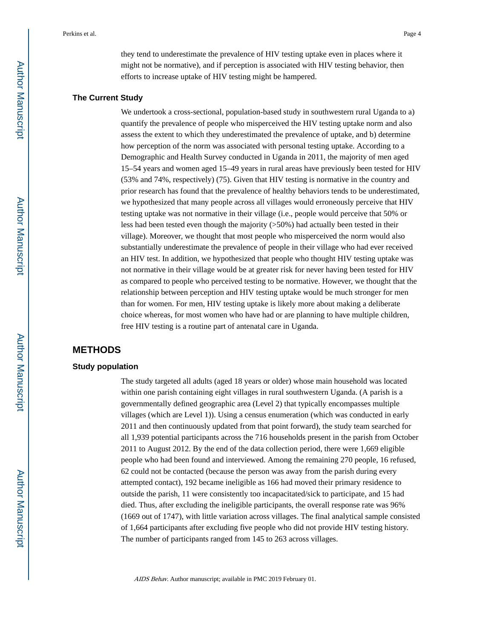they tend to underestimate the prevalence of HIV testing uptake even in places where it might not be normative), and if perception is associated with HIV testing behavior, then efforts to increase uptake of HIV testing might be hampered.

## **The Current Study**

We undertook a cross-sectional, population-based study in southwestern rural Uganda to a) quantify the prevalence of people who misperceived the HIV testing uptake norm and also assess the extent to which they underestimated the prevalence of uptake, and b) determine how perception of the norm was associated with personal testing uptake. According to a Demographic and Health Survey conducted in Uganda in 2011, the majority of men aged 15–54 years and women aged 15–49 years in rural areas have previously been tested for HIV (53% and 74%, respectively) (75). Given that HIV testing is normative in the country and prior research has found that the prevalence of healthy behaviors tends to be underestimated, we hypothesized that many people across all villages would erroneously perceive that HIV testing uptake was not normative in their village (i.e., people would perceive that 50% or less had been tested even though the majority (>50%) had actually been tested in their village). Moreover, we thought that most people who misperceived the norm would also substantially underestimate the prevalence of people in their village who had ever received an HIV test. In addition, we hypothesized that people who thought HIV testing uptake was not normative in their village would be at greater risk for never having been tested for HIV as compared to people who perceived testing to be normative. However, we thought that the relationship between perception and HIV testing uptake would be much stronger for men than for women. For men, HIV testing uptake is likely more about making a deliberate choice whereas, for most women who have had or are planning to have multiple children, free HIV testing is a routine part of antenatal care in Uganda.

# **METHODS**

#### **Study population**

The study targeted all adults (aged 18 years or older) whose main household was located within one parish containing eight villages in rural southwestern Uganda. (A parish is a governmentally defined geographic area (Level 2) that typically encompasses multiple villages (which are Level 1)). Using a census enumeration (which was conducted in early 2011 and then continuously updated from that point forward), the study team searched for all 1,939 potential participants across the 716 households present in the parish from October 2011 to August 2012. By the end of the data collection period, there were 1,669 eligible people who had been found and interviewed. Among the remaining 270 people, 16 refused, 62 could not be contacted (because the person was away from the parish during every attempted contact), 192 became ineligible as 166 had moved their primary residence to outside the parish, 11 were consistently too incapacitated/sick to participate, and 15 had died. Thus, after excluding the ineligible participants, the overall response rate was 96% (1669 out of 1747), with little variation across villages. The final analytical sample consisted of 1,664 participants after excluding five people who did not provide HIV testing history. The number of participants ranged from 145 to 263 across villages.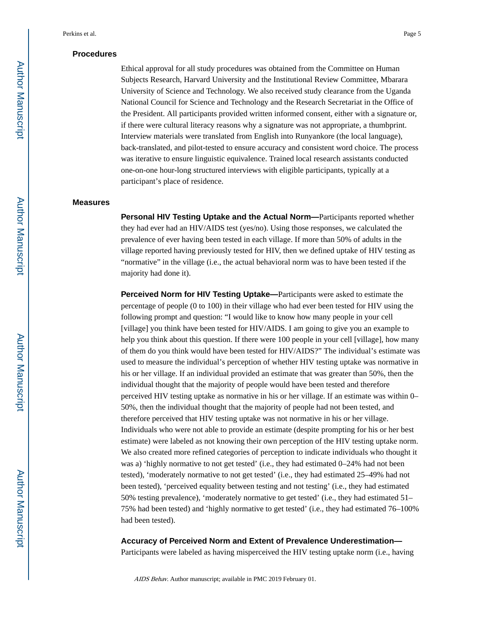#### **Procedures**

Ethical approval for all study procedures was obtained from the Committee on Human Subjects Research, Harvard University and the Institutional Review Committee, Mbarara University of Science and Technology. We also received study clearance from the Uganda National Council for Science and Technology and the Research Secretariat in the Office of the President. All participants provided written informed consent, either with a signature or, if there were cultural literacy reasons why a signature was not appropriate, a thumbprint. Interview materials were translated from English into Runyankore (the local language), back-translated, and pilot-tested to ensure accuracy and consistent word choice. The process was iterative to ensure linguistic equivalence. Trained local research assistants conducted one-on-one hour-long structured interviews with eligible participants, typically at a participant's place of residence.

#### **Measures**

**Personal HIV Testing Uptake and the Actual Norm—**Participants reported whether they had ever had an HIV/AIDS test (yes/no). Using those responses, we calculated the prevalence of ever having been tested in each village. If more than 50% of adults in the village reported having previously tested for HIV, then we defined uptake of HIV testing as "normative" in the village (i.e., the actual behavioral norm was to have been tested if the majority had done it).

**Perceived Norm for HIV Testing Uptake—**Participants were asked to estimate the percentage of people (0 to 100) in their village who had ever been tested for HIV using the following prompt and question: "I would like to know how many people in your cell [village] you think have been tested for HIV/AIDS. I am going to give you an example to help you think about this question. If there were 100 people in your cell [village], how many of them do you think would have been tested for HIV/AIDS?" The individual's estimate was used to measure the individual's perception of whether HIV testing uptake was normative in his or her village. If an individual provided an estimate that was greater than 50%, then the individual thought that the majority of people would have been tested and therefore perceived HIV testing uptake as normative in his or her village. If an estimate was within 0– 50%, then the individual thought that the majority of people had not been tested, and therefore perceived that HIV testing uptake was not normative in his or her village. Individuals who were not able to provide an estimate (despite prompting for his or her best estimate) were labeled as not knowing their own perception of the HIV testing uptake norm. We also created more refined categories of perception to indicate individuals who thought it was a) 'highly normative to not get tested' (i.e., they had estimated 0–24% had not been tested), 'moderately normative to not get tested' (i.e., they had estimated 25–49% had not been tested), 'perceived equality between testing and not testing' (i.e., they had estimated 50% testing prevalence), 'moderately normative to get tested' (i.e., they had estimated 51– 75% had been tested) and 'highly normative to get tested' (i.e., they had estimated 76–100% had been tested).

**Accuracy of Perceived Norm and Extent of Prevalence Underestimation—**

Participants were labeled as having misperceived the HIV testing uptake norm (i.e., having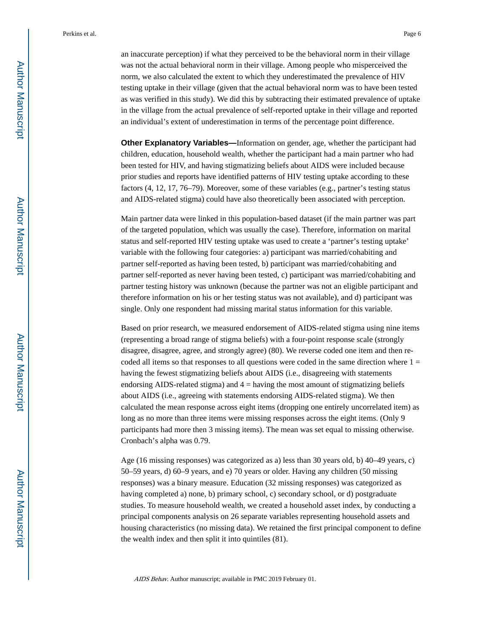an inaccurate perception) if what they perceived to be the behavioral norm in their village was not the actual behavioral norm in their village. Among people who misperceived the norm, we also calculated the extent to which they underestimated the prevalence of HIV testing uptake in their village (given that the actual behavioral norm was to have been tested as was verified in this study). We did this by subtracting their estimated prevalence of uptake in the village from the actual prevalence of self-reported uptake in their village and reported an individual's extent of underestimation in terms of the percentage point difference.

**Other Explanatory Variables—**Information on gender, age, whether the participant had children, education, household wealth, whether the participant had a main partner who had been tested for HIV, and having stigmatizing beliefs about AIDS were included because prior studies and reports have identified patterns of HIV testing uptake according to these factors (4, 12, 17, 76–79). Moreover, some of these variables (e.g., partner's testing status and AIDS-related stigma) could have also theoretically been associated with perception.

Main partner data were linked in this population-based dataset (if the main partner was part of the targeted population, which was usually the case). Therefore, information on marital status and self-reported HIV testing uptake was used to create a 'partner's testing uptake' variable with the following four categories: a) participant was married/cohabiting and partner self-reported as having been tested, b) participant was married/cohabiting and partner self-reported as never having been tested, c) participant was married/cohabiting and partner testing history was unknown (because the partner was not an eligible participant and therefore information on his or her testing status was not available), and d) participant was single. Only one respondent had missing marital status information for this variable.

Based on prior research, we measured endorsement of AIDS-related stigma using nine items (representing a broad range of stigma beliefs) with a four-point response scale (strongly disagree, disagree, agree, and strongly agree) (80). We reverse coded one item and then recoded all items so that responses to all questions were coded in the same direction where  $1 =$ having the fewest stigmatizing beliefs about AIDS (i.e., disagreeing with statements endorsing AIDS-related stigma) and  $4 =$  having the most amount of stigmatizing beliefs about AIDS (i.e., agreeing with statements endorsing AIDS-related stigma). We then calculated the mean response across eight items (dropping one entirely uncorrelated item) as long as no more than three items were missing responses across the eight items. (Only 9 participants had more then 3 missing items). The mean was set equal to missing otherwise. Cronbach's alpha was 0.79.

Age (16 missing responses) was categorized as a) less than 30 years old, b) 40–49 years, c) 50–59 years, d) 60–9 years, and e) 70 years or older. Having any children (50 missing responses) was a binary measure. Education (32 missing responses) was categorized as having completed a) none, b) primary school, c) secondary school, or d) postgraduate studies. To measure household wealth, we created a household asset index, by conducting a principal components analysis on 26 separate variables representing household assets and housing characteristics (no missing data). We retained the first principal component to define the wealth index and then split it into quintiles (81).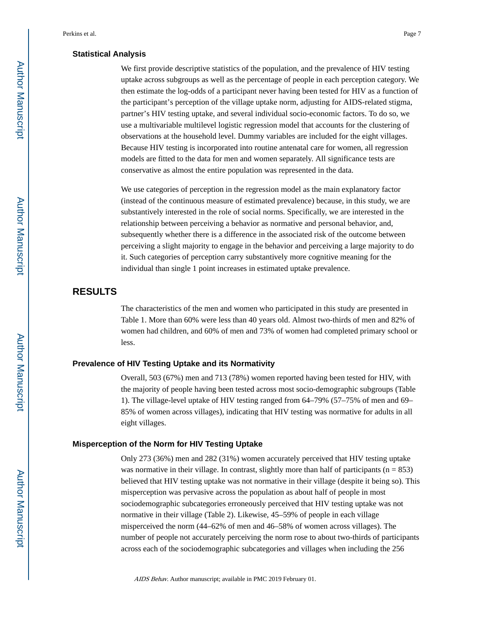#### **Statistical Analysis**

We first provide descriptive statistics of the population, and the prevalence of HIV testing uptake across subgroups as well as the percentage of people in each perception category. We then estimate the log-odds of a participant never having been tested for HIV as a function of the participant's perception of the village uptake norm, adjusting for AIDS-related stigma, partner's HIV testing uptake, and several individual socio-economic factors. To do so, we use a multivariable multilevel logistic regression model that accounts for the clustering of observations at the household level. Dummy variables are included for the eight villages. Because HIV testing is incorporated into routine antenatal care for women, all regression models are fitted to the data for men and women separately. All significance tests are conservative as almost the entire population was represented in the data.

We use categories of perception in the regression model as the main explanatory factor (instead of the continuous measure of estimated prevalence) because, in this study, we are substantively interested in the role of social norms. Specifically, we are interested in the relationship between perceiving a behavior as normative and personal behavior, and, subsequently whether there is a difference in the associated risk of the outcome between perceiving a slight majority to engage in the behavior and perceiving a large majority to do it. Such categories of perception carry substantively more cognitive meaning for the individual than single 1 point increases in estimated uptake prevalence.

# **RESULTS**

The characteristics of the men and women who participated in this study are presented in Table 1. More than 60% were less than 40 years old. Almost two-thirds of men and 82% of women had children, and 60% of men and 73% of women had completed primary school or less.

#### **Prevalence of HIV Testing Uptake and its Normativity**

Overall, 503 (67%) men and 713 (78%) women reported having been tested for HIV, with the majority of people having been tested across most socio-demographic subgroups (Table 1). The village-level uptake of HIV testing ranged from 64–79% (57–75% of men and 69– 85% of women across villages), indicating that HIV testing was normative for adults in all eight villages.

#### **Misperception of the Norm for HIV Testing Uptake**

Only 273 (36%) men and 282 (31%) women accurately perceived that HIV testing uptake was normative in their village. In contrast, slightly more than half of participants ( $n = 853$ ) believed that HIV testing uptake was not normative in their village (despite it being so). This misperception was pervasive across the population as about half of people in most sociodemographic subcategories erroneously perceived that HIV testing uptake was not normative in their village (Table 2). Likewise, 45–59% of people in each village misperceived the norm (44–62% of men and 46–58% of women across villages). The number of people not accurately perceiving the norm rose to about two-thirds of participants across each of the sociodemographic subcategories and villages when including the 256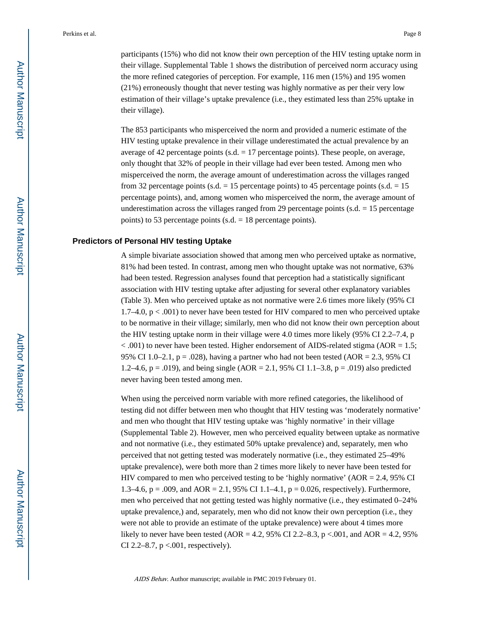participants (15%) who did not know their own perception of the HIV testing uptake norm in their village. Supplemental Table 1 shows the distribution of perceived norm accuracy using the more refined categories of perception. For example, 116 men (15%) and 195 women (21%) erroneously thought that never testing was highly normative as per their very low estimation of their village's uptake prevalence (i.e., they estimated less than 25% uptake in their village).

The 853 participants who misperceived the norm and provided a numeric estimate of the HIV testing uptake prevalence in their village underestimated the actual prevalence by an average of 42 percentage points (s.d.  $= 17$  percentage points). These people, on average, only thought that 32% of people in their village had ever been tested. Among men who misperceived the norm, the average amount of underestimation across the villages ranged from 32 percentage points (s.d.  $= 15$  percentage points) to 45 percentage points (s.d.  $= 15$ ) percentage points), and, among women who misperceived the norm, the average amount of underestimation across the villages ranged from 29 percentage points  $(s.d. = 15$  percentage points) to 53 percentage points (s.d. = 18 percentage points).

#### **Predictors of Personal HIV testing Uptake**

A simple bivariate association showed that among men who perceived uptake as normative, 81% had been tested. In contrast, among men who thought uptake was not normative, 63% had been tested. Regression analyses found that perception had a statistically significant association with HIV testing uptake after adjusting for several other explanatory variables (Table 3). Men who perceived uptake as not normative were 2.6 times more likely (95% CI  $1.7–4.0$ ,  $p < .001$ ) to never have been tested for HIV compared to men who perceived uptake to be normative in their village; similarly, men who did not know their own perception about the HIV testing uptake norm in their village were 4.0 times more likely (95% CI 2.2–7.4, p  $< .001$ ) to never have been tested. Higher endorsement of AIDS-related stigma (AOR = 1.5; 95% CI 1.0–2.1,  $p = .028$ ), having a partner who had not been tested (AOR = 2.3, 95% CI 1.2–4.6, p = .019), and being single (AOR = 2.1, 95% CI 1.1–3.8, p = .019) also predicted never having been tested among men.

When using the perceived norm variable with more refined categories, the likelihood of testing did not differ between men who thought that HIV testing was 'moderately normative' and men who thought that HIV testing uptake was 'highly normative' in their village (Supplemental Table 2). However, men who perceived equality between uptake as normative and not normative (i.e., they estimated 50% uptake prevalence) and, separately, men who perceived that not getting tested was moderately normative (i.e., they estimated 25–49% uptake prevalence), were both more than 2 times more likely to never have been tested for HIV compared to men who perceived testing to be 'highly normative' ( $AOR = 2.4$ , 95% CI 1.3–4.6, p = .009, and AOR = 2.1, 95% CI 1.1–4.1, p = 0.026, respectively). Furthermore, men who perceived that not getting tested was highly normative (i.e., they estimated 0–24% uptake prevalence,) and, separately, men who did not know their own perception (i.e., they were not able to provide an estimate of the uptake prevalence) were about 4 times more likely to never have been tested (AOR = 4.2, 95% CI 2.2–8.3, p < 001, and AOR = 4.2, 95% CI 2.2–8.7,  $p < .001$ , respectively).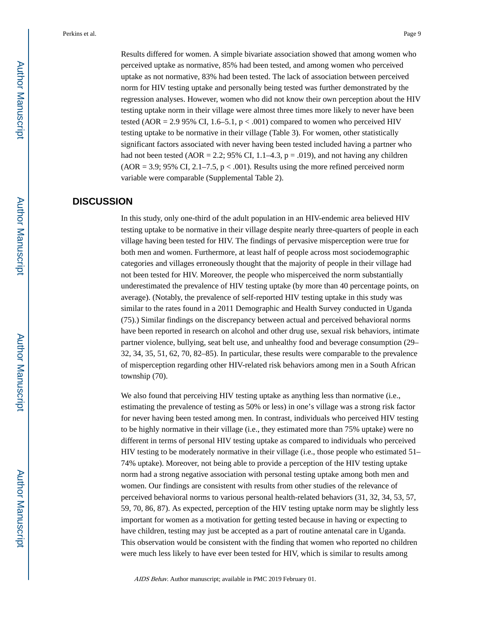Results differed for women. A simple bivariate association showed that among women who perceived uptake as normative, 85% had been tested, and among women who perceived uptake as not normative, 83% had been tested. The lack of association between perceived norm for HIV testing uptake and personally being tested was further demonstrated by the regression analyses. However, women who did not know their own perception about the HIV testing uptake norm in their village were almost three times more likely to never have been tested (AOR = 2.9 95% CI, 1.6–5.1,  $p < .001$ ) compared to women who perceived HIV testing uptake to be normative in their village (Table 3). For women, other statistically significant factors associated with never having been tested included having a partner who had not been tested (AOR = 2.2; 95% CI, 1.1–4.3,  $p = .019$ ), and not having any children  $(AOR = 3.9; 95\% \text{ CI}, 2.1–7.5, p < .001)$ . Results using the more refined perceived norm variable were comparable (Supplemental Table 2).

# **DISCUSSION**

In this study, only one-third of the adult population in an HIV-endemic area believed HIV testing uptake to be normative in their village despite nearly three-quarters of people in each village having been tested for HIV. The findings of pervasive misperception were true for both men and women. Furthermore, at least half of people across most sociodemographic categories and villages erroneously thought that the majority of people in their village had not been tested for HIV. Moreover, the people who misperceived the norm substantially underestimated the prevalence of HIV testing uptake (by more than 40 percentage points, on average). (Notably, the prevalence of self-reported HIV testing uptake in this study was similar to the rates found in a 2011 Demographic and Health Survey conducted in Uganda (75).) Similar findings on the discrepancy between actual and perceived behavioral norms have been reported in research on alcohol and other drug use, sexual risk behaviors, intimate partner violence, bullying, seat belt use, and unhealthy food and beverage consumption (29– 32, 34, 35, 51, 62, 70, 82–85). In particular, these results were comparable to the prevalence of misperception regarding other HIV-related risk behaviors among men in a South African township (70).

We also found that perceiving HIV testing uptake as anything less than normative (i.e., estimating the prevalence of testing as 50% or less) in one's village was a strong risk factor for never having been tested among men. In contrast, individuals who perceived HIV testing to be highly normative in their village (i.e., they estimated more than 75% uptake) were no different in terms of personal HIV testing uptake as compared to individuals who perceived HIV testing to be moderately normative in their village (i.e., those people who estimated 51– 74% uptake). Moreover, not being able to provide a perception of the HIV testing uptake norm had a strong negative association with personal testing uptake among both men and women. Our findings are consistent with results from other studies of the relevance of perceived behavioral norms to various personal health-related behaviors (31, 32, 34, 53, 57, 59, 70, 86, 87). As expected, perception of the HIV testing uptake norm may be slightly less important for women as a motivation for getting tested because in having or expecting to have children, testing may just be accepted as a part of routine antenatal care in Uganda. This observation would be consistent with the finding that women who reported no children were much less likely to have ever been tested for HIV, which is similar to results among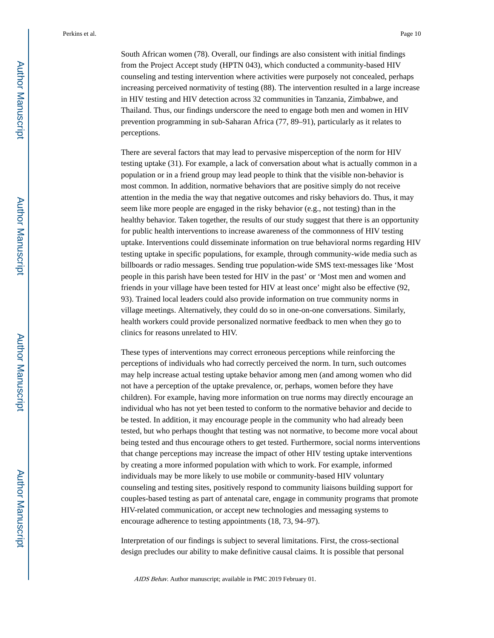South African women (78). Overall, our findings are also consistent with initial findings from the Project Accept study (HPTN 043), which conducted a community-based HIV counseling and testing intervention where activities were purposely not concealed, perhaps increasing perceived normativity of testing (88). The intervention resulted in a large increase in HIV testing and HIV detection across 32 communities in Tanzania, Zimbabwe, and Thailand. Thus, our findings underscore the need to engage both men and women in HIV prevention programming in sub-Saharan Africa (77, 89–91), particularly as it relates to perceptions.

There are several factors that may lead to pervasive misperception of the norm for HIV testing uptake (31). For example, a lack of conversation about what is actually common in a population or in a friend group may lead people to think that the visible non-behavior is most common. In addition, normative behaviors that are positive simply do not receive attention in the media the way that negative outcomes and risky behaviors do. Thus, it may seem like more people are engaged in the risky behavior (e.g., not testing) than in the healthy behavior. Taken together, the results of our study suggest that there is an opportunity for public health interventions to increase awareness of the commonness of HIV testing uptake. Interventions could disseminate information on true behavioral norms regarding HIV testing uptake in specific populations, for example, through community-wide media such as billboards or radio messages. Sending true population-wide SMS text-messages like 'Most people in this parish have been tested for HIV in the past' or 'Most men and women and friends in your village have been tested for HIV at least once' might also be effective (92, 93). Trained local leaders could also provide information on true community norms in village meetings. Alternatively, they could do so in one-on-one conversations. Similarly, health workers could provide personalized normative feedback to men when they go to clinics for reasons unrelated to HIV.

These types of interventions may correct erroneous perceptions while reinforcing the perceptions of individuals who had correctly perceived the norm. In turn, such outcomes may help increase actual testing uptake behavior among men (and among women who did not have a perception of the uptake prevalence, or, perhaps, women before they have children). For example, having more information on true norms may directly encourage an individual who has not yet been tested to conform to the normative behavior and decide to be tested. In addition, it may encourage people in the community who had already been tested, but who perhaps thought that testing was not normative, to become more vocal about being tested and thus encourage others to get tested. Furthermore, social norms interventions that change perceptions may increase the impact of other HIV testing uptake interventions by creating a more informed population with which to work. For example, informed individuals may be more likely to use mobile or community-based HIV voluntary counseling and testing sites, positively respond to community liaisons building support for couples-based testing as part of antenatal care, engage in community programs that promote HIV-related communication, or accept new technologies and messaging systems to encourage adherence to testing appointments (18, 73, 94–97).

Interpretation of our findings is subject to several limitations. First, the cross-sectional design precludes our ability to make definitive causal claims. It is possible that personal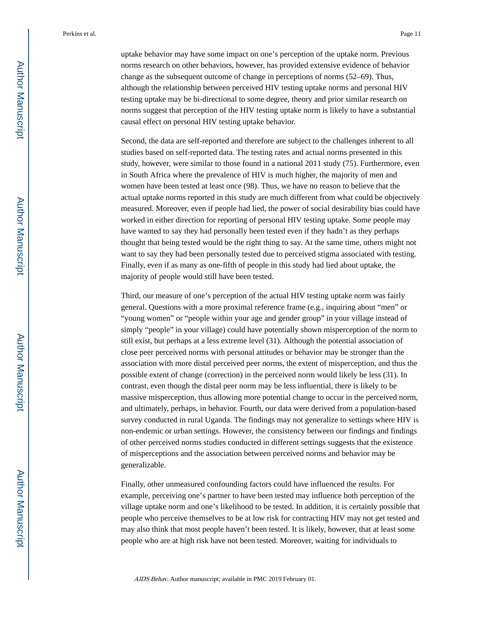uptake behavior may have some impact on one's perception of the uptake norm. Previous norms research on other behaviors, however, has provided extensive evidence of behavior change as the subsequent outcome of change in perceptions of norms (52–69). Thus, although the relationship between perceived HIV testing uptake norms and personal HIV testing uptake may be bi-directional to some degree, theory and prior similar research on norms suggest that perception of the HIV testing uptake norm is likely to have a substantial causal effect on personal HIV testing uptake behavior.

Second, the data are self-reported and therefore are subject to the challenges inherent to all studies based on self-reported data. The testing rates and actual norms presented in this study, however, were similar to those found in a national 2011 study (75). Furthermore, even in South Africa where the prevalence of HIV is much higher, the majority of men and women have been tested at least once (98). Thus, we have no reason to believe that the actual uptake norms reported in this study are much different from what could be objectively measured. Moreover, even if people had lied, the power of social desirability bias could have worked in either direction for reporting of personal HIV testing uptake. Some people may have wanted to say they had personally been tested even if they hadn't as they perhaps thought that being tested would be the right thing to say. At the same time, others might not want to say they had been personally tested due to perceived stigma associated with testing. Finally, even if as many as one-fifth of people in this study had lied about uptake, the majority of people would still have been tested.

Third, our measure of one's perception of the actual HIV testing uptake norm was fairly general. Questions with a more proximal reference frame (e.g., inquiring about "men" or "young women" or "people within your age and gender group" in your village instead of simply "people" in your village) could have potentially shown misperception of the norm to still exist, but perhaps at a less extreme level (31). Although the potential association of close peer perceived norms with personal attitudes or behavior may be stronger than the association with more distal perceived peer norms, the extent of misperception, and thus the possible extent of change (correction) in the perceived norm would likely be less (31). In contrast, even though the distal peer norm may be less influential, there is likely to be massive misperception, thus allowing more potential change to occur in the perceived norm, and ultimately, perhaps, in behavior. Fourth, our data were derived from a population-based survey conducted in rural Uganda. The findings may not generalize to settings where HIV is non-endemic or urban settings. However, the consistency between our findings and findings of other perceived norms studies conducted in different settings suggests that the existence of misperceptions and the association between perceived norms and behavior may be generalizable.

Finally, other unmeasured confounding factors could have influenced the results. For example, perceiving one's partner to have been tested may influence both perception of the village uptake norm and one's likelihood to be tested. In addition, it is certainly possible that people who perceive themselves to be at low risk for contracting HIV may not get tested and may also think that most people haven't been tested. It is likely, however, that at least some people who are at high risk have not been tested. Moreover, waiting for individuals to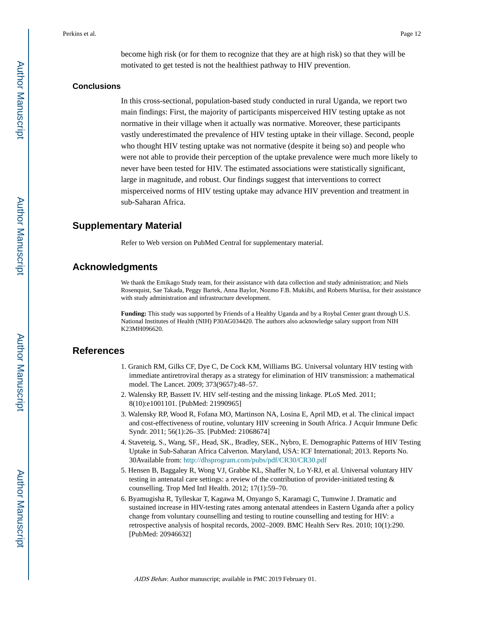become high risk (or for them to recognize that they are at high risk) so that they will be motivated to get tested is not the healthiest pathway to HIV prevention.

#### **Conclusions**

In this cross-sectional, population-based study conducted in rural Uganda, we report two main findings: First, the majority of participants misperceived HIV testing uptake as not normative in their village when it actually was normative. Moreover, these participants vastly underestimated the prevalence of HIV testing uptake in their village. Second, people who thought HIV testing uptake was not normative (despite it being so) and people who were not able to provide their perception of the uptake prevalence were much more likely to never have been tested for HIV. The estimated associations were statistically significant, large in magnitude, and robust. Our findings suggest that interventions to correct misperceived norms of HIV testing uptake may advance HIV prevention and treatment in sub-Saharan Africa.

# **Supplementary Material**

Refer to Web version on PubMed Central for supplementary material.

# **Acknowledgments**

We thank the Emikago Study team, for their assistance with data collection and study administration; and Niels Rosenquist, Sae Takada, Peggy Bartek, Anna Baylor, Nozmo F.B. Mukiibi, and Roberts Muriisa, for their assistance with study administration and infrastructure development.

**Funding:** This study was supported by Friends of a Healthy Uganda and by a Roybal Center grant through U.S. National Institutes of Health (NIH) P30AG034420. The authors also acknowledge salary support from NIH K23MH096620.

# **References**

- 1. Granich RM, Gilks CF, Dye C, De Cock KM, Williams BG. Universal voluntary HIV testing with immediate antiretroviral therapy as a strategy for elimination of HIV transmission: a mathematical model. The Lancet. 2009; 373(9657):48–57.
- 2. Walensky RP, Bassett IV. HIV self-testing and the missing linkage. PLoS Med. 2011; 8(10):e1001101. [PubMed: 21990965]
- 3. Walensky RP, Wood R, Fofana MO, Martinson NA, Losina E, April MD, et al. The clinical impact and cost-effectiveness of routine, voluntary HIV screening in South Africa. J Acquir Immune Defic Syndr. 2011; 56(1):26–35. [PubMed: 21068674]
- 4. Staveteig, S., Wang, SF., Head, SK., Bradley, SEK., Nybro, E. Demographic Patterns of HIV Testing Uptake in Sub-Saharan Africa Calverton. Maryland, USA: ICF International; 2013. Reports No. 30Available from: <http://dhsprogram.com/pubs/pdf/CR30/CR30.pdf>
- 5. Hensen B, Baggaley R, Wong VJ, Grabbe KL, Shaffer N, Lo Y-RJ, et al. Universal voluntary HIV testing in antenatal care settings: a review of the contribution of provider-initiated testing & counselling. Trop Med Intl Health. 2012; 17(1):59–70.
- 6. Byamugisha R, Tylleskar T, Kagawa M, Onyango S, Karamagi C, Tumwine J. Dramatic and sustained increase in HIV-testing rates among antenatal attendees in Eastern Uganda after a policy change from voluntary counselling and testing to routine counselling and testing for HIV: a retrospective analysis of hospital records, 2002–2009. BMC Health Serv Res. 2010; 10(1):290. [PubMed: 20946632]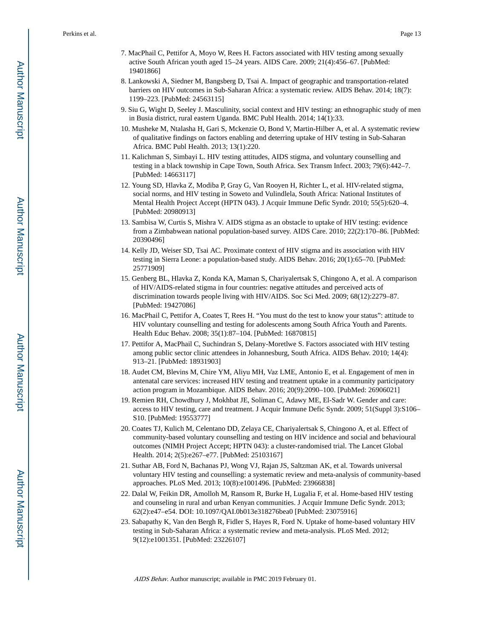- 7. MacPhail C, Pettifor A, Moyo W, Rees H. Factors associated with HIV testing among sexually active South African youth aged 15–24 years. AIDS Care. 2009; 21(4):456–67. [PubMed: 19401866]
- 8. Lankowski A, Siedner M, Bangsberg D, Tsai A. Impact of geographic and transportation-related barriers on HIV outcomes in Sub-Saharan Africa: a systematic review. AIDS Behav. 2014; 18(7): 1199–223. [PubMed: 24563115]
- 9. Siu G, Wight D, Seeley J. Masculinity, social context and HIV testing: an ethnographic study of men in Busia district, rural eastern Uganda. BMC Publ Health. 2014; 14(1):33.
- 10. Musheke M, Ntalasha H, Gari S, Mckenzie O, Bond V, Martin-Hilber A, et al. A systematic review of qualitative findings on factors enabling and deterring uptake of HIV testing in Sub-Saharan Africa. BMC Publ Health. 2013; 13(1):220.
- 11. Kalichman S, Simbayi L. HIV testing attitudes, AIDS stigma, and voluntary counselling and testing in a black township in Cape Town, South Africa. Sex Transm Infect. 2003; 79(6):442–7. [PubMed: 14663117]
- 12. Young SD, Hlavka Z, Modiba P, Gray G, Van Rooyen H, Richter L, et al. HIV-related stigma, social norms, and HIV testing in Soweto and Vulindlela, South Africa: National Institutes of Mental Health Project Accept (HPTN 043). J Acquir Immune Defic Syndr. 2010; 55(5):620–4. [PubMed: 20980913]
- 13. Sambisa W, Curtis S, Mishra V. AIDS stigma as an obstacle to uptake of HIV testing: evidence from a Zimbabwean national population-based survey. AIDS Care. 2010; 22(2):170–86. [PubMed: 20390496]
- 14. Kelly JD, Weiser SD, Tsai AC. Proximate context of HIV stigma and its association with HIV testing in Sierra Leone: a population-based study. AIDS Behav. 2016; 20(1):65–70. [PubMed: 25771909]
- 15. Genberg BL, Hlavka Z, Konda KA, Maman S, Chariyalertsak S, Chingono A, et al. A comparison of HIV/AIDS-related stigma in four countries: negative attitudes and perceived acts of discrimination towards people living with HIV/AIDS. Soc Sci Med. 2009; 68(12):2279–87. [PubMed: 19427086]
- 16. MacPhail C, Pettifor A, Coates T, Rees H. "You must do the test to know your status": attitude to HIV voluntary counselling and testing for adolescents among South Africa Youth and Parents. Health Educ Behav. 2008; 35(1):87–104. [PubMed: 16870815]
- 17. Pettifor A, MacPhail C, Suchindran S, Delany-Moretlwe S. Factors associated with HIV testing among public sector clinic attendees in Johannesburg, South Africa. AIDS Behav. 2010; 14(4): 913–21. [PubMed: 18931903]
- 18. Audet CM, Blevins M, Chire YM, Aliyu MH, Vaz LME, Antonio E, et al. Engagement of men in antenatal care services: increased HIV testing and treatment uptake in a community participatory action program in Mozambique. AIDS Behav. 2016; 20(9):2090–100. [PubMed: 26906021]
- 19. Remien RH, Chowdhury J, Mokhbat JE, Soliman C, Adawy ME, El-Sadr W. Gender and care: access to HIV testing, care and treatment. J Acquir Immune Defic Syndr. 2009; 51(Suppl 3):S106– S10. [PubMed: 19553777]
- 20. Coates TJ, Kulich M, Celentano DD, Zelaya CE, Chariyalertsak S, Chingono A, et al. Effect of community-based voluntary counselling and testing on HIV incidence and social and behavioural outcomes (NIMH Project Accept; HPTN 043): a cluster-randomised trial. The Lancet Global Health. 2014; 2(5):e267–e77. [PubMed: 25103167]
- 21. Suthar AB, Ford N, Bachanas PJ, Wong VJ, Rajan JS, Saltzman AK, et al. Towards universal voluntary HIV testing and counselling: a systematic review and meta-analysis of community-based approaches. PLoS Med. 2013; 10(8):e1001496. [PubMed: 23966838]
- 22. Dalal W, Feikin DR, Amolloh M, Ransom R, Burke H, Lugalia F, et al. Home-based HIV testing and counseling in rural and urban Kenyan communities. J Acquir Immune Defic Syndr. 2013; 62(2):e47–e54. DOI: 10.1097/QAI.0b013e318276bea0 [PubMed: 23075916]
- 23. Sabapathy K, Van den Bergh R, Fidler S, Hayes R, Ford N. Uptake of home-based voluntary HIV testing in Sub-Saharan Africa: a systematic review and meta-analysis. PLoS Med. 2012; 9(12):e1001351. [PubMed: 23226107]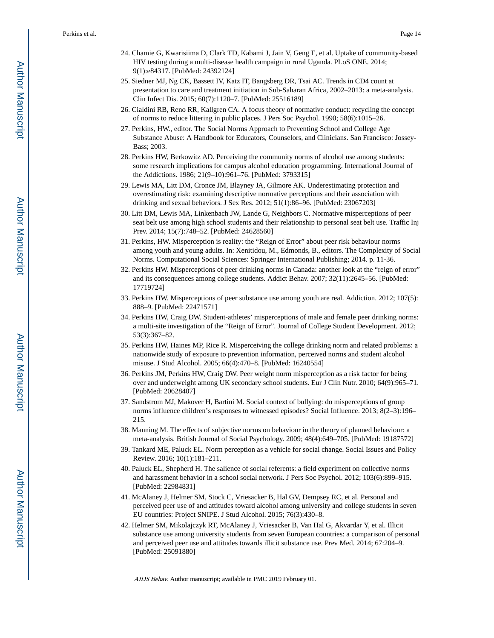- 24. Chamie G, Kwarisiima D, Clark TD, Kabami J, Jain V, Geng E, et al. Uptake of community-based HIV testing during a multi-disease health campaign in rural Uganda. PLoS ONE. 2014; 9(1):e84317. [PubMed: 24392124]
- 25. Siedner MJ, Ng CK, Bassett IV, Katz IT, Bangsberg DR, Tsai AC. Trends in CD4 count at presentation to care and treatment initiation in Sub-Saharan Africa, 2002–2013: a meta-analysis. Clin Infect Dis. 2015; 60(7):1120–7. [PubMed: 25516189]
- 26. Cialdini RB, Reno RR, Kallgren CA. A focus theory of normative conduct: recycling the concept of norms to reduce littering in public places. J Pers Soc Psychol. 1990; 58(6):1015–26.
- 27. Perkins, HW., editor. The Social Norms Approach to Preventing School and College Age Substance Abuse: A Handbook for Educators, Counselors, and Clinicians. San Francisco: Jossey-Bass; 2003.
- 28. Perkins HW, Berkowitz AD. Perceiving the community norms of alcohol use among students: some research implications for campus alcohol education programming. International Journal of the Addictions. 1986; 21(9–10):961–76. [PubMed: 3793315]
- 29. Lewis MA, Litt DM, Cronce JM, Blayney JA, Gilmore AK. Underestimating protection and overestimating risk: examining descriptive normative perceptions and their association with drinking and sexual behaviors. J Sex Res. 2012; 51(1):86–96. [PubMed: 23067203]
- 30. Litt DM, Lewis MA, Linkenbach JW, Lande G, Neighbors C. Normative misperceptions of peer seat belt use among high school students and their relationship to personal seat belt use. Traffic Inj Prev. 2014; 15(7):748–52. [PubMed: 24628560]
- 31. Perkins, HW. Misperception is reality: the "Reign of Error" about peer risk behaviour norms among youth and young adults. In: Xenitidou, M., Edmonds, B., editors. The Complexity of Social Norms. Computational Social Sciences: Springer International Publishing; 2014. p. 11-36.
- 32. Perkins HW. Misperceptions of peer drinking norms in Canada: another look at the "reign of error" and its consequences among college students. Addict Behav. 2007; 32(11):2645–56. [PubMed: 17719724]
- 33. Perkins HW. Misperceptions of peer substance use among youth are real. Addiction. 2012; 107(5): 888–9. [PubMed: 22471571]
- 34. Perkins HW, Craig DW. Student-athletes' misperceptions of male and female peer drinking norms: a multi-site investigation of the "Reign of Error". Journal of College Student Development. 2012; 53(3):367–82.
- 35. Perkins HW, Haines MP, Rice R. Misperceiving the college drinking norm and related problems: a nationwide study of exposure to prevention information, perceived norms and student alcohol misuse. J Stud Alcohol. 2005; 66(4):470–8. [PubMed: 16240554]
- 36. Perkins JM, Perkins HW, Craig DW. Peer weight norm misperception as a risk factor for being over and underweight among UK secondary school students. Eur J Clin Nutr. 2010; 64(9):965–71. [PubMed: 20628407]
- 37. Sandstrom MJ, Makover H, Bartini M. Social context of bullying: do misperceptions of group norms influence children's responses to witnessed episodes? Social Influence. 2013; 8(2–3):196– 215.
- 38. Manning M. The effects of subjective norms on behaviour in the theory of planned behaviour: a meta-analysis. British Journal of Social Psychology. 2009; 48(4):649–705. [PubMed: 19187572]
- 39. Tankard ME, Paluck EL. Norm perception as a vehicle for social change. Social Issues and Policy Review. 2016; 10(1):181–211.
- 40. Paluck EL, Shepherd H. The salience of social referents: a field experiment on collective norms and harassment behavior in a school social network. J Pers Soc Psychol. 2012; 103(6):899–915. [PubMed: 22984831]
- 41. McAlaney J, Helmer SM, Stock C, Vriesacker B, Hal GV, Dempsey RC, et al. Personal and perceived peer use of and attitudes toward alcohol among university and college students in seven EU countries: Project SNIPE. J Stud Alcohol. 2015; 76(3):430–8.
- 42. Helmer SM, Mikolajczyk RT, McAlaney J, Vriesacker B, Van Hal G, Akvardar Y, et al. Illicit substance use among university students from seven European countries: a comparison of personal and perceived peer use and attitudes towards illicit substance use. Prev Med. 2014; 67:204–9. [PubMed: 25091880]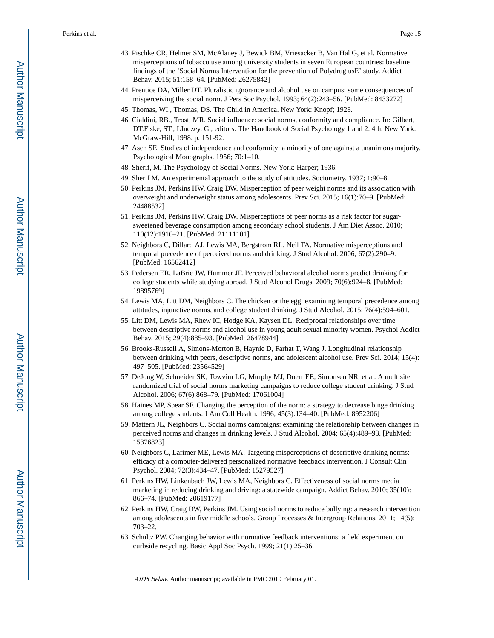- 43. Pischke CR, Helmer SM, McAlaney J, Bewick BM, Vriesacker B, Van Hal G, et al. Normative misperceptions of tobacco use among university students in seven European countries: baseline findings of the 'Social Norms Intervention for the prevention of Polydrug usE' study. Addict Behav. 2015; 51:158–64. [PubMed: 26275842]
- 44. Prentice DA, Miller DT. Pluralistic ignorance and alcohol use on campus: some consequences of misperceiving the social norm. J Pers Soc Psychol. 1993; 64(2):243–56. [PubMed: 8433272]
- 45. Thomas, WI., Thomas, DS. The Child in America. New York: Knopf; 1928.
- 46. Cialdini, RB., Trost, MR. Social influence: social norms, conformity and compliance. In: Gilbert, DT.Fiske, ST., LIndzey, G., editors. The Handbook of Social Psychology 1 and 2. 4th. New York: McGraw-Hill; 1998. p. 151-92.
- 47. Asch SE. Studies of independence and conformity: a minority of one against a unanimous majority. Psychological Monographs. 1956; 70:1–10.
- 48. Sherif, M. The Psychology of Social Norms. New York: Harper; 1936.
- 49. Sherif M. An experimental approach to the study of attitudes. Sociometry. 1937; 1:90–8.
- 50. Perkins JM, Perkins HW, Craig DW. Misperception of peer weight norms and its association with overweight and underweight status among adolescents. Prev Sci. 2015; 16(1):70–9. [PubMed: 24488532]
- 51. Perkins JM, Perkins HW, Craig DW. Misperceptions of peer norms as a risk factor for sugarsweetened beverage consumption among secondary school students. J Am Diet Assoc. 2010; 110(12):1916–21. [PubMed: 21111101]
- 52. Neighbors C, Dillard AJ, Lewis MA, Bergstrom RL, Neil TA. Normative misperceptions and temporal precedence of perceived norms and drinking. J Stud Alcohol. 2006; 67(2):290–9. [PubMed: 16562412]
- 53. Pedersen ER, LaBrie JW, Hummer JF. Perceived behavioral alcohol norms predict drinking for college students while studying abroad. J Stud Alcohol Drugs. 2009; 70(6):924–8. [PubMed: 19895769]
- 54. Lewis MA, Litt DM, Neighbors C. The chicken or the egg: examining temporal precedence among attitudes, injunctive norms, and college student drinking. J Stud Alcohol. 2015; 76(4):594–601.
- 55. Litt DM, Lewis MA, Rhew IC, Hodge KA, Kaysen DL. Reciprocal relationships over time between descriptive norms and alcohol use in young adult sexual minority women. Psychol Addict Behav. 2015; 29(4):885–93. [PubMed: 26478944]
- 56. Brooks-Russell A, Simons-Morton B, Haynie D, Farhat T, Wang J. Longitudinal relationship between drinking with peers, descriptive norms, and adolescent alcohol use. Prev Sci. 2014; 15(4): 497–505. [PubMed: 23564529]
- 57. DeJong W, Schneider SK, Towvim LG, Murphy MJ, Doerr EE, Simonsen NR, et al. A multisite randomized trial of social norms marketing campaigns to reduce college student drinking. J Stud Alcohol. 2006; 67(6):868–79. [PubMed: 17061004]
- 58. Haines MP, Spear SF. Changing the perception of the norm: a strategy to decrease binge drinking among college students. J Am Coll Health. 1996; 45(3):134–40. [PubMed: 8952206]
- 59. Mattern JL, Neighbors C. Social norms campaigns: examining the relationship between changes in perceived norms and changes in drinking levels. J Stud Alcohol. 2004; 65(4):489–93. [PubMed: 15376823]
- 60. Neighbors C, Larimer ME, Lewis MA. Targeting misperceptions of descriptive drinking norms: efficacy of a computer-delivered personalized normative feedback intervention. J Consult Clin Psychol. 2004; 72(3):434–47. [PubMed: 15279527]
- 61. Perkins HW, Linkenbach JW, Lewis MA, Neighbors C. Effectiveness of social norms media marketing in reducing drinking and driving: a statewide campaign. Addict Behav. 2010; 35(10): 866–74. [PubMed: 20619177]
- 62. Perkins HW, Craig DW, Perkins JM. Using social norms to reduce bullying: a research intervention among adolescents in five middle schools. Group Processes & Intergroup Relations. 2011; 14(5): 703–22.
- 63. Schultz PW. Changing behavior with normative feedback interventions: a field experiment on curbside recycling. Basic Appl Soc Psych. 1999; 21(1):25–36.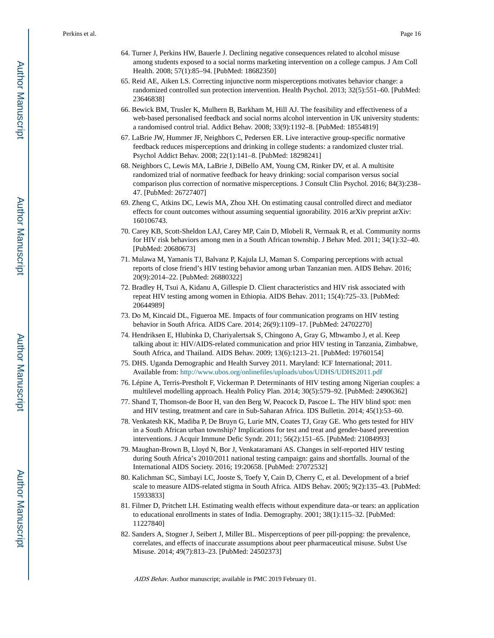- 64. Turner J, Perkins HW, Bauerle J. Declining negative consequences related to alcohol misuse among students exposed to a social norms marketing intervention on a college campus. J Am Coll Health. 2008; 57(1):85–94. [PubMed: 18682350]
- 65. Reid AE, Aiken LS. Correcting injunctive norm misperceptions motivates behavior change: a randomized controlled sun protection intervention. Health Psychol. 2013; 32(5):551–60. [PubMed: 23646838]
- 66. Bewick BM, Trusler K, Mulhern B, Barkham M, Hill AJ. The feasibility and effectiveness of a web-based personalised feedback and social norms alcohol intervention in UK university students: a randomised control trial. Addict Behav. 2008; 33(9):1192–8. [PubMed: 18554819]
- 67. LaBrie JW, Hummer JF, Neighbors C, Pedersen ER. Live interactive group-specific normative feedback reduces misperceptions and drinking in college students: a randomized cluster trial. Psychol Addict Behav. 2008; 22(1):141–8. [PubMed: 18298241]
- 68. Neighbors C, Lewis MA, LaBrie J, DiBello AM, Young CM, Rinker DV, et al. A multisite randomized trial of normative feedback for heavy drinking: social comparison versus social comparison plus correction of normative misperceptions. J Consult Clin Psychol. 2016; 84(3):238– 47. [PubMed: 26727407]
- 69. Zheng C, Atkins DC, Lewis MA, Zhou XH. On estimating causal controlled direct and mediator effects for count outcomes without assuming sequential ignorability. 2016 arXiv preprint arXiv: 160106743.
- 70. Carey KB, Scott-Sheldon LAJ, Carey MP, Cain D, Mlobeli R, Vermaak R, et al. Community norms for HIV risk behaviors among men in a South African township. J Behav Med. 2011; 34(1):32–40. [PubMed: 20680673]
- 71. Mulawa M, Yamanis TJ, Balvanz P, Kajula LJ, Maman S. Comparing perceptions with actual reports of close friend's HIV testing behavior among urban Tanzanian men. AIDS Behav. 2016; 20(9):2014–22. [PubMed: 26880322]
- 72. Bradley H, Tsui A, Kidanu A, Gillespie D. Client characteristics and HIV risk associated with repeat HIV testing among women in Ethiopia. AIDS Behav. 2011; 15(4):725–33. [PubMed: 20644989]
- 73. Do M, Kincaid DL, Figueroa ME. Impacts of four communication programs on HIV testing behavior in South Africa. AIDS Care. 2014; 26(9):1109–17. [PubMed: 24702270]
- 74. Hendriksen E, Hlubinka D, Chariyalertsak S, Chingono A, Gray G, Mbwambo J, et al. Keep talking about it: HIV/AIDS-related communication and prior HIV testing in Tanzania, Zimbabwe, South Africa, and Thailand. AIDS Behav. 2009; 13(6):1213–21. [PubMed: 19760154]
- 75. DHS. Uganda Demographic and Health Survey 2011. Maryland: ICF International; 2011. Available from: <http://www.ubos.org/onlinefiles/uploads/ubos/UDHS/UDHS2011.pdf>
- 76. Lépine A, Terris-Prestholt F, Vickerman P. Determinants of HIV testing among Nigerian couples: a multilevel modelling approach. Health Policy Plan. 2014; 30(5):579–92. [PubMed: 24906362]
- 77. Shand T, Thomson-de Boor H, van den Berg W, Peacock D, Pascoe L. The HIV blind spot: men and HIV testing, treatment and care in Sub-Saharan Africa. IDS Bulletin. 2014; 45(1):53–60.
- 78. Venkatesh KK, Madiba P, De Bruyn G, Lurie MN, Coates TJ, Gray GE. Who gets tested for HIV in a South African urban township? Implications for test and treat and gender-based prevention interventions. J Acquir Immune Defic Syndr. 2011; 56(2):151–65. [PubMed: 21084993]
- 79. Maughan-Brown B, Lloyd N, Bor J, Venkataramani AS. Changes in self-reported HIV testing during South Africa's 2010/2011 national testing campaign: gains and shortfalls. Journal of the International AIDS Society. 2016; 19:20658. [PubMed: 27072532]
- 80. Kalichman SC, Simbayi LC, Jooste S, Toefy Y, Cain D, Cherry C, et al. Development of a brief scale to measure AIDS-related stigma in South Africa. AIDS Behav. 2005; 9(2):135–43. [PubMed: 15933833]
- 81. Filmer D, Pritchett LH. Estimating wealth effects without expenditure data–or tears: an application to educational enrollments in states of India. Demography. 2001; 38(1):115–32. [PubMed: 11227840]
- 82. Sanders A, Stogner J, Seibert J, Miller BL. Misperceptions of peer pill-popping: the prevalence, correlates, and effects of inaccurate assumptions about peer pharmaceutical misuse. Subst Use Misuse. 2014; 49(7):813–23. [PubMed: 24502373]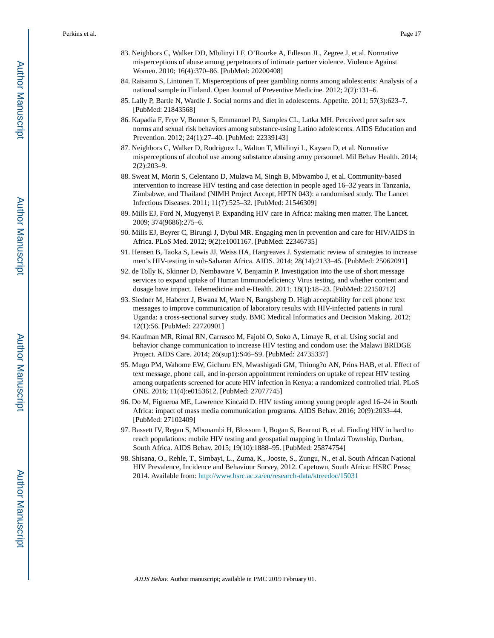- 83. Neighbors C, Walker DD, Mbilinyi LF, O'Rourke A, Edleson JL, Zegree J, et al. Normative misperceptions of abuse among perpetrators of intimate partner violence. Violence Against Women. 2010; 16(4):370–86. [PubMed: 20200408]
- 84. Raisamo S, Lintonen T. Misperceptions of peer gambling norms among adolescents: Analysis of a national sample in Finland. Open Journal of Preventive Medicine. 2012; 2(2):131–6.
- 85. Lally P, Bartle N, Wardle J. Social norms and diet in adolescents. Appetite. 2011; 57(3):623–7. [PubMed: 21843568]
- 86. Kapadia F, Frye V, Bonner S, Emmanuel PJ, Samples CL, Latka MH. Perceived peer safer sex norms and sexual risk behaviors among substance-using Latino adolescents. AIDS Education and Prevention. 2012; 24(1):27–40. [PubMed: 22339143]
- 87. Neighbors C, Walker D, Rodriguez L, Walton T, Mbilinyi L, Kaysen D, et al. Normative misperceptions of alcohol use among substance abusing army personnel. Mil Behav Health. 2014; 2(2):203–9.
- 88. Sweat M, Morin S, Celentano D, Mulawa M, Singh B, Mbwambo J, et al. Community-based intervention to increase HIV testing and case detection in people aged 16–32 years in Tanzania, Zimbabwe, and Thailand (NIMH Project Accept, HPTN 043): a randomised study. The Lancet Infectious Diseases. 2011; 11(7):525–32. [PubMed: 21546309]
- 89. Mills EJ, Ford N, Mugyenyi P. Expanding HIV care in Africa: making men matter. The Lancet. 2009; 374(9686):275–6.
- 90. Mills EJ, Beyrer C, Birungi J, Dybul MR. Engaging men in prevention and care for HIV/AIDS in Africa. PLoS Med. 2012; 9(2):e1001167. [PubMed: 22346735]
- 91. Hensen B, Taoka S, Lewis JJ, Weiss HA, Hargreaves J. Systematic review of strategies to increase men's HIV-testing in sub-Saharan Africa. AIDS. 2014; 28(14):2133–45. [PubMed: 25062091]
- 92. de Tolly K, Skinner D, Nembaware V, Benjamin P. Investigation into the use of short message services to expand uptake of Human Immunodeficiency Virus testing, and whether content and dosage have impact. Telemedicine and e-Health. 2011; 18(1):18–23. [PubMed: 22150712]
- 93. Siedner M, Haberer J, Bwana M, Ware N, Bangsberg D. High acceptability for cell phone text messages to improve communication of laboratory results with HIV-infected patients in rural Uganda: a cross-sectional survey study. BMC Medical Informatics and Decision Making. 2012; 12(1):56. [PubMed: 22720901]
- 94. Kaufman MR, Rimal RN, Carrasco M, Fajobi O, Soko A, Limaye R, et al. Using social and behavior change communication to increase HIV testing and condom use: the Malawi BRIDGE Project. AIDS Care. 2014; 26(sup1):S46–S9. [PubMed: 24735337]
- 95. Mugo PM, Wahome EW, Gichuru EN, Mwashigadi GM, Thiong?o AN, Prins HAB, et al. Effect of text message, phone call, and in-person appointment reminders on uptake of repeat HIV testing among outpatients screened for acute HIV infection in Kenya: a randomized controlled trial. PLoS ONE. 2016; 11(4):e0153612. [PubMed: 27077745]
- 96. Do M, Figueroa ME, Lawrence Kincaid D. HIV testing among young people aged 16–24 in South Africa: impact of mass media communication programs. AIDS Behav. 2016; 20(9):2033–44. [PubMed: 27102409]
- 97. Bassett IV, Regan S, Mbonambi H, Blossom J, Bogan S, Bearnot B, et al. Finding HIV in hard to reach populations: mobile HIV testing and geospatial mapping in Umlazi Township, Durban, South Africa. AIDS Behav. 2015; 19(10):1888–95. [PubMed: 25874754]
- 98. Shisana, O., Rehle, T., Simbayi, L., Zuma, K., Jooste, S., Zungu, N., et al. South African National HIV Prevalence, Incidence and Behaviour Survey, 2012. Capetown, South Africa: HSRC Press; 2014. Available from:<http://www.hsrc.ac.za/en/research-data/ktreedoc/15031>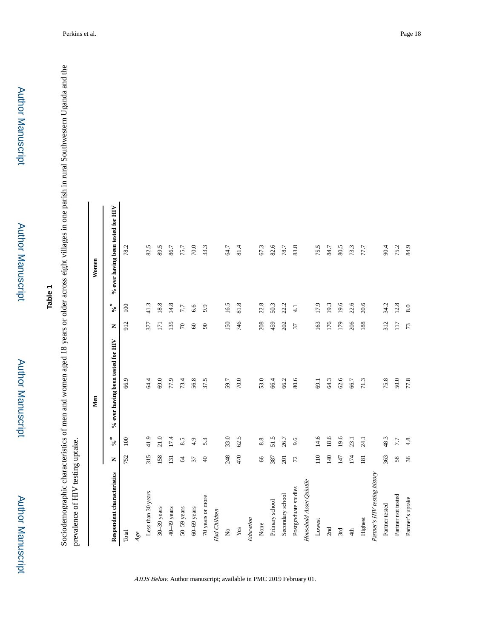Sociodemographic characteristics of men and women aged 18 years or older across eight villages in one parish in rural Southwestern Uganda and the Sociodemographic characteristics of men and women aged 18 years or older across eight villages in one parish in rural Southwestern Uganda and the prevalence of HIV testing uptake. prevalence of HIV testing uptake.

|                                |               |                 | Men                               |            |               | Women                             |
|--------------------------------|---------------|-----------------|-----------------------------------|------------|---------------|-----------------------------------|
| Respondent characteristics     | Z             | $\mathcal{N}_0$ | % ever having been tested for HIV | Z          | $v_{\rm o}^*$ | % ever having been tested for HIV |
| Total                          | 752           | 100             | 66.9                              | 912        | $100\,$       | 78.2                              |
| Age                            |               |                 |                                   |            |               |                                   |
| Less than 30 years             | 315           | 41.9            | 64.4                              | 377        | 41.3          | 82.5                              |
| $30-39$ years                  | 158           | 21.0            | 69.0                              | 171        | 18.8          | 89.5                              |
| $40 - 49$ years                | 131           | 17.4            | 77.9                              | 135        | 14.8          | 86.7                              |
| 50-59 years                    | $\mathcal{Z}$ | 8.5             | 73.4                              | $\sqrt{2}$ | 7.7           | 75.7                              |
| $60 - 69$ years                | 57            | 4.9             | 56.8                              | $\infty$   | 6.6           | $70.0$                            |
| 70 years or more               | $\Theta$      | 5.3             | 37.5                              | $\infty$   | 9.9           | 33.3                              |
| Had Children                   |               |                 |                                   |            |               |                                   |
| $\stackrel{\circ}{\mathbf{Z}}$ | 248           | 33.0            | 59.7                              | 150        | 16.5          | 64.7                              |
| $\mathbf{Yes}$                 | 470           | 62.5            | 70.0                              | 746        | 81.8          | 81.4                              |
| Education                      |               |                 |                                   |            |               |                                   |
| None                           | 66            | 8.8             | 53.0                              | 208        | 22.8          | 67.3                              |
| Primary school                 | 387           | 51.5            | 66.4                              | 459        | 50.3          | 82.6                              |
| Secondary school               | 201           | 26.7            | 66.2                              | 202        | 22.2          | 78.7                              |
| Postgraduate studies           | 72            | 9.6             | 80.6                              | 37         | $\frac{1}{4}$ | 83.8                              |
| Household Asset Quintile       |               |                 |                                   |            |               |                                   |
| Lowest                         | 110           | 14.6            | 69.1                              | 163        | 17.9          | 75.5                              |
| 2nd                            | 140           | 18.6            | 64.3                              | 176        | 19.3          | 84.7                              |
| 3rd                            | 147           | 19.6            | 62.6                              | 179        | 19.6          | 80.5                              |
| 4th                            | 174           | 23.1            | 66.7                              | 206        | 22.6          | 73.3                              |
| Highest                        | 181           | 24.1            | 71.3                              | 188        | 20.6          | 77.7                              |
| Partner's HIV testing history  |               |                 |                                   |            |               |                                   |
| Partner tested                 | 363           | 48.3            | 75.8                              | 312        | 34.2          | 90.4                              |
| Partner not tested             | 58            | 7.7             | 50.0                              | 117        | 12.8          | 75.2                              |
| Partner's uptake               | 36            | 4.8             | 77.8                              | 73         | 8.0           | 84.9                              |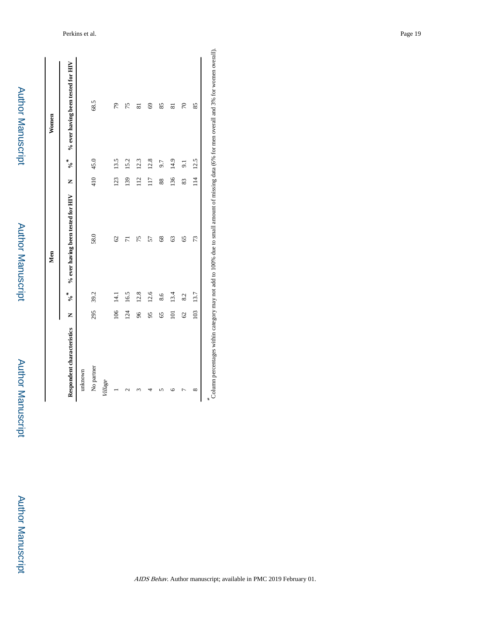|                            |                  |                | Men                               |               |                | Women                             |
|----------------------------|------------------|----------------|-----------------------------------|---------------|----------------|-----------------------------------|
| Respondent characteristics | Z                | $e_{\infty}^*$ | % ever having been tested for HIV | Z             | $e_{\infty}^*$ | % ever having been tested for HIV |
| unknown                    |                  |                |                                   |               |                |                                   |
| No partner                 | 295              | 39.2           | 58.0                              | 410           | 45.0           | 68.5                              |
| Village                    |                  |                |                                   |               |                |                                   |
|                            | 106              | $\frac{1}{4}$  | $\mathcal{O}$                     | 123           | 13.5           | 79                                |
|                            | 124              | 16.5           | 11                                | 139           | 15.2           | 75                                |
|                            | 96               | 12.8           | 75                                | 112           | 12.3           | $\overline{\mathbf{8}}$           |
|                            | 95               | 12.6           | 57                                | 117           | 12.8           | $\mathcal{S}^9$                   |
|                            | 65               | 8.6            | 68                                | 88            | 9.7            | 85                                |
|                            | $\overline{101}$ | 13.4           | 63                                | 136           | 14.9           | $\overline{\mathbf{8}}$           |
|                            | 62               | 8.2            | 65                                | 83            | $\overline{5}$ | $\sqrt{2}$                        |
| ${}^{\circ}$               | 103              | 13.7           | 73                                | $\frac{1}{4}$ | 12.5           | 85                                |
| ×                          |                  |                |                                   |               |                |                                   |

Column percentages within category may not add to 100% due to small amount of missing data (6% for men overall and 3% for women overall). Column percentages within category may not add to 100% due to small amount of missing data (6% for men overall and 3% for women overall).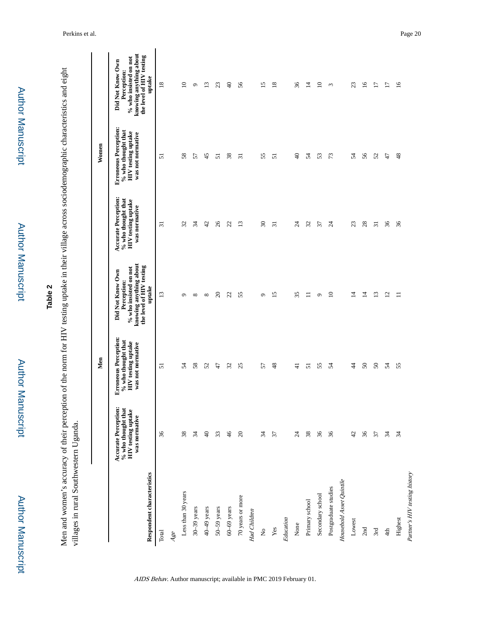Men and women's accuracy of their perception of the norm for HIV testing uptake in their village across sociodemographic characteristics and eight Men and women's accuracy of their perception of the norm for HIV testing uptake in their village across sociodemographic characteristics and eight villages in rural Southwestern Uganda. villages in rural Southwestern Uganda.

**Table 2**

|                               |                                                                                          | Men                                                                                           |                                                                                                                          |                                                                                          | Women                                                                                  |                                                                                                                          |
|-------------------------------|------------------------------------------------------------------------------------------|-----------------------------------------------------------------------------------------------|--------------------------------------------------------------------------------------------------------------------------|------------------------------------------------------------------------------------------|----------------------------------------------------------------------------------------|--------------------------------------------------------------------------------------------------------------------------|
| Respondent characteristics    | <b>Accurate Perception:</b><br>% who thought that<br>HIV testing uptake<br>was normative | <b>Erroneous Perception:</b><br>% who thought that<br>HIV testing uptake<br>was not normative | knowing anything about<br>the level of HIV testing<br>% who insisted on not<br>Did Not Know Own<br>Perception:<br>uptake | <b>Accurate Perception:</b><br>% who thought that<br>HIV testing uptake<br>was normative | Erroneous Perception:<br>% who thought that<br>HIV testing uptake<br>was not normative | knowing anything about<br>the level of HIV testing<br>% who insisted on not<br>Did Not Know Own<br>Perception:<br>uptake |
| Total                         | 36                                                                                       | 51                                                                                            | $\overline{13}$                                                                                                          | ಸ                                                                                        | 51                                                                                     | $\overline{18}$                                                                                                          |
| Age                           |                                                                                          |                                                                                               |                                                                                                                          |                                                                                          |                                                                                        |                                                                                                                          |
| Less than 30 years            | 38                                                                                       | 54                                                                                            | $\circ$                                                                                                                  | 32                                                                                       | 58                                                                                     | $\Xi$                                                                                                                    |
| 30-39 years                   | 34                                                                                       | 58                                                                                            | $^{\circ}$                                                                                                               | 34                                                                                       | 57                                                                                     | $\sigma$                                                                                                                 |
| $40 - 49$ years               | $\Theta$                                                                                 | 52                                                                                            | ${}^{\circ}$                                                                                                             | $\ddot{c}$                                                                               | 45                                                                                     | 13                                                                                                                       |
| 50-59 years                   | 33                                                                                       | 47                                                                                            | $\Omega$                                                                                                                 | 26                                                                                       | 5                                                                                      | 23                                                                                                                       |
| $60 - 69$ years               | 46                                                                                       | $\mathfrak{L}$                                                                                | 22                                                                                                                       | 22                                                                                       | 38                                                                                     | $\Theta$                                                                                                                 |
| 70 years or more              | $20$                                                                                     | 25                                                                                            | 55                                                                                                                       | $\overline{13}$                                                                          | $\Xi$                                                                                  | 56                                                                                                                       |
| Had Children                  |                                                                                          |                                                                                               |                                                                                                                          |                                                                                          |                                                                                        |                                                                                                                          |
| $\tilde{z}$                   | 34                                                                                       | 57                                                                                            | G                                                                                                                        | $\mathfrak{S}0$                                                                          | 55                                                                                     | 15                                                                                                                       |
| $\mathbf{Yes}$                | 57                                                                                       | 48                                                                                            | 15                                                                                                                       | $\overline{31}$                                                                          | 51                                                                                     | $\overline{18}$                                                                                                          |
| Education                     |                                                                                          |                                                                                               |                                                                                                                          |                                                                                          |                                                                                        |                                                                                                                          |
| None                          | $\boldsymbol{z}$                                                                         | 극                                                                                             | 35                                                                                                                       | $\overline{c}$                                                                           | $\Theta$                                                                               | 36                                                                                                                       |
| Primary school                | 38                                                                                       | 5                                                                                             | Ξ                                                                                                                        | $\mathfrak{L}$                                                                           | 54                                                                                     | $\overline{4}$                                                                                                           |
| Secondary school              | 36                                                                                       | 55                                                                                            | $\circ$                                                                                                                  | 57                                                                                       | 53                                                                                     | $\approx$                                                                                                                |
| Postgraduate studies          | 36                                                                                       | 54                                                                                            | $\overline{a}$                                                                                                           | $\mathbb{Z}$                                                                             | 73                                                                                     | 3                                                                                                                        |
| Household Asset Quintile      |                                                                                          |                                                                                               |                                                                                                                          |                                                                                          |                                                                                        |                                                                                                                          |
| Lowest                        | $\overline{4}$                                                                           | 4                                                                                             | 4                                                                                                                        | 23                                                                                       | 54                                                                                     | 23                                                                                                                       |
| 2nd                           | 36                                                                                       | $50\,$                                                                                        | ᅼ                                                                                                                        | 28                                                                                       | 56                                                                                     | $\overline{16}$                                                                                                          |
| 3rd                           | 57                                                                                       | $50\,$                                                                                        | $\overline{13}$                                                                                                          | $\overline{3}$                                                                           | 52                                                                                     | $\overline{17}$                                                                                                          |
| 4th                           | 34                                                                                       | 54                                                                                            | $\overline{c}$                                                                                                           | 36                                                                                       | 47                                                                                     | $\overline{17}$                                                                                                          |
| Highest                       | $\approx$                                                                                | 55                                                                                            | Ξ                                                                                                                        | 36                                                                                       | 48                                                                                     | $\overline{16}$                                                                                                          |
| Partner's HIV testing history |                                                                                          |                                                                                               |                                                                                                                          |                                                                                          |                                                                                        |                                                                                                                          |

AIDS Behav. Author manuscript; available in PMC 2019 February 01.

Partner's HIV testing history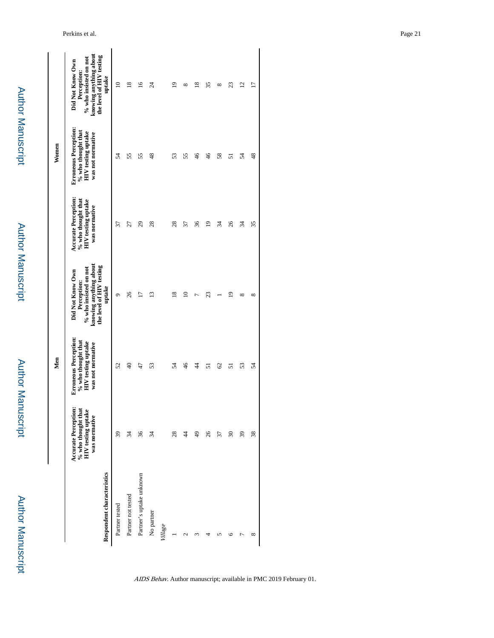|                            |                                                                                          | Men                                                                                                  |                                                                                                                          |                                                                                          | Women                                                                                         |                                                                                                                          |
|----------------------------|------------------------------------------------------------------------------------------|------------------------------------------------------------------------------------------------------|--------------------------------------------------------------------------------------------------------------------------|------------------------------------------------------------------------------------------|-----------------------------------------------------------------------------------------------|--------------------------------------------------------------------------------------------------------------------------|
| Respondent characteristics | <b>Accurate Perception:</b><br>% who thought that<br>HIV testing uptake<br>was normative | <b>Erroneous Perception:</b><br>% who thought that<br><b>HIV</b> testing uptake<br>was not normative | knowing anything about<br>the level of HIV testing<br>% who insisted on not<br>Did Not Know Own<br>Perception:<br>uptake | <b>Accurate Perception:</b><br>% who thought that<br>HIV testing uptake<br>was normative | <b>Erroneous Perception:</b><br>% who thought that<br>HIV testing uptake<br>was not normative | knowing anything about<br>the level of HIV testing<br>% who insisted on not<br>Did Not Know Own<br>Perception:<br>uptake |
| Partner tested             | 39                                                                                       | 52                                                                                                   | ç                                                                                                                        | 37                                                                                       | 54                                                                                            | $\approx$                                                                                                                |
| Partner not tested         | 34                                                                                       | $\overline{4}$                                                                                       | 26                                                                                                                       | 27                                                                                       | 55                                                                                            | $\overline{18}$                                                                                                          |
| Partner's uptake unknown   | 36                                                                                       | 47                                                                                                   | $\overline{17}$                                                                                                          | 29                                                                                       | 55                                                                                            | $\tilde{=}$                                                                                                              |
| No partner                 | 34                                                                                       | 53                                                                                                   | 13                                                                                                                       | 28                                                                                       | $\frac{8}{4}$                                                                                 | 24                                                                                                                       |
| Village                    |                                                                                          |                                                                                                      |                                                                                                                          |                                                                                          |                                                                                               |                                                                                                                          |
|                            | 28                                                                                       | 54                                                                                                   | ≌                                                                                                                        | $^{28}$                                                                                  | 53                                                                                            | $\mathbf{5}$                                                                                                             |
| 2                          | $\overline{4}$                                                                           | 46                                                                                                   | $\Xi$                                                                                                                    | 37                                                                                       | 55                                                                                            | ∞                                                                                                                        |
|                            | $\frac{9}{4}$                                                                            | 4                                                                                                    |                                                                                                                          | 36                                                                                       | 46                                                                                            | $\frac{8}{1}$                                                                                                            |
|                            | 26                                                                                       | 5                                                                                                    | 23                                                                                                                       | ≘                                                                                        | 46                                                                                            | 35                                                                                                                       |
|                            | 37                                                                                       | $\mathcal{O}$                                                                                        |                                                                                                                          | र्द्र                                                                                    | 58                                                                                            | $^{\circ}$                                                                                                               |
| ৩                          | $\boldsymbol{30}$                                                                        | 5                                                                                                    | $\overline{0}$                                                                                                           | 26                                                                                       | 51                                                                                            | 23                                                                                                                       |
| Γ                          | 39                                                                                       | 53                                                                                                   | $\infty$                                                                                                                 | 34                                                                                       | 54                                                                                            | $\overline{c}$                                                                                                           |
| $^{\circ}$                 | 38                                                                                       | 54                                                                                                   | $\infty$                                                                                                                 | 35                                                                                       | 48                                                                                            | $\overline{17}$                                                                                                          |
|                            |                                                                                          |                                                                                                      |                                                                                                                          |                                                                                          |                                                                                               |                                                                                                                          |

Perkins et al. Page 21